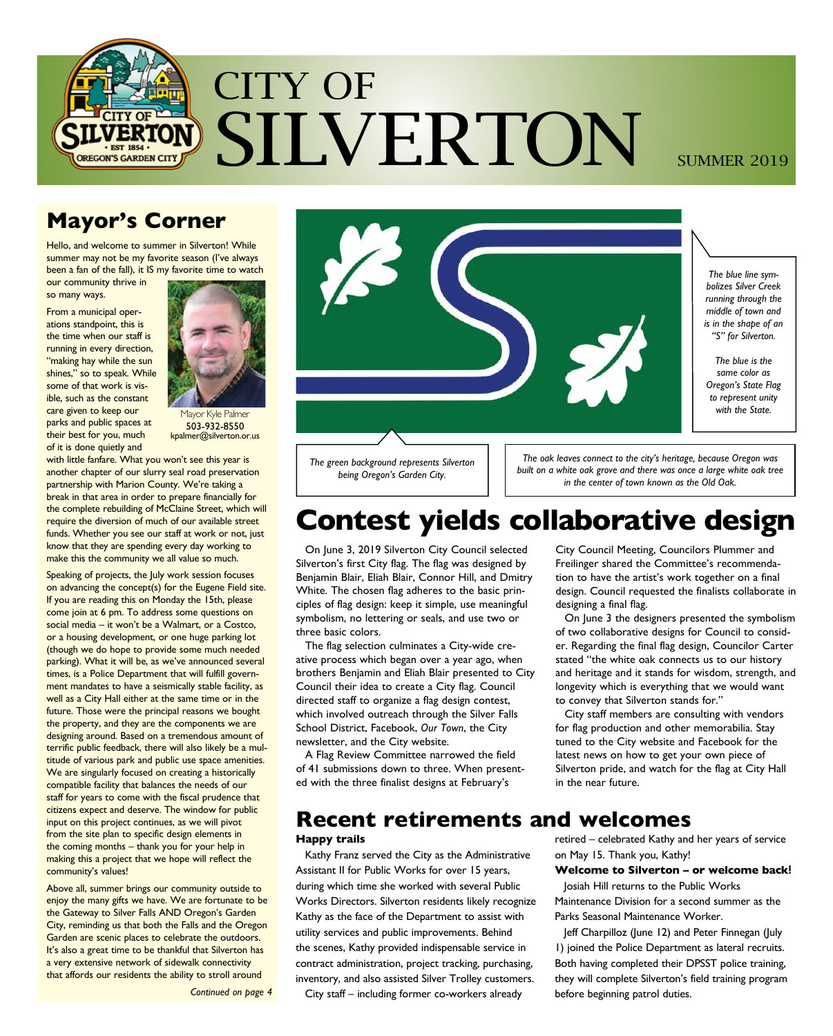

## **Mayor's Corner**

Hello, and welcome to summer in Silverton! While summer may not be my favorite season (I've always been a fan of the fall), it IS my favorite time to watch

our community thrive in so many ways.

From a municipal operations standpoint, this is the time when our staff is running in every direction, "making hay while the sun shines," so to speak. While some of that work is visible, such as the constant care given to keep our parks and public spaces at their best for you, much of it is done quietly and



Mayor Kyle Palmer 503-932-8550 kpalmer@silverton.or.us

with little fanfare. What you won't see this year is another chapter of our slurry seal road preservation partnership with Marion County. We're taking a break in that area in order to prepare financially for the complete rebuilding of McClaine Street, which will require the diversion of much of our available street funds. Whether you see our staff at work or not, just know that they are spending every day working to make this the community we all value so much.

Speaking of projects, the July work session focuses on advancing the concept(s) for the Eugene Field site. If you are reading this on Monday the 15th, please come join at 6 pm. To address some questions on social media – it won't be a Walmart, or a Costco, or a housing development, or one huge parking lot (though we do hope to provide some much needed parking). What it will be, as we've announced several times, is a Police Department that will fulfill government mandates to have a seismically stable facility, as well as a City Hall either at the same time or in the future. Those were the principal reasons we bought the property, and they are the components we are designing around. Based on a tremendous amount of terrific public feedback, there will also likely be a multitude of various park and public use space amenities. We are singularly focused on creating a historically compatible facility that balances the needs of our staff for years to come with the fiscal prudence that citizens expect and deserve. The window for public input on this project continues, as we will pivot from the site plan to specific design elements in the coming months – thank you for your help in making this a project that we hope will reflect the community's values!

Above all, summer brings our community outside to enjoy the many gifts we have. We are fortunate to be the Gateway to Silver Falls AND Oregon's Garden City, reminding us that both the Falls and the Oregon Garden are scenic places to celebrate the outdoors. It's also a great time to be thankful that Silverton has a very extensive network of sidewalk connectivity that affords our residents the ability to stroll around

*Continued on page 4*



*The green background represents Silverton being Oregon's Garden City.*

*The oak leaves connect to the city's heritage, because Oregon was built on a white oak grove and there was once a large white oak tree in the center of town known as the Old Oak.*

## **Contest yields collaborative design**

On June 3, 2019 Silverton City Council selected Silverton's first City flag. The flag was designed by Benjamin Blair, Eliah Blair, Connor Hill, and Dmitry White. The chosen flag adheres to the basic principles of flag design: keep it simple, use meaningful symbolism, no lettering or seals, and use two or three basic colors.

The flag selection culminates a City-wide creative process which began over a year ago, when brothers Benjamin and Eliah Blair presented to City Council their idea to create a City flag. Council directed staff to organize a flag design contest, which involved outreach through the Silver Falls School District, Facebook, *Our Town*, the City newsletter, and the City website.

A Flag Review Committee narrowed the field of 41 submissions down to three. When presented with the three finalist designs at February's

City Council Meeting, Councilors Plummer and Freilinger shared the Committee's recommendation to have the artist's work together on a final design. Council requested the finalists collaborate in designing a final flag.

On June 3 the designers presented the symbolism of two collaborative designs for Council to consider. Regarding the final flag design, Councilor Carter stated "the white oak connects us to our history and heritage and it stands for wisdom, strength, and longevity which is everything that we would want to convey that Silverton stands for."

City staff members are consulting with vendors for flag production and other memorabilia. Stay tuned to the City website and Facebook for the latest news on how to get your own piece of Silverton pride, and watch for the flag at City Hall in the near future.

## **Recent retirements and welcomes**

#### **Happy trails**

Kathy Franz served the City as the Administrative Assistant II for Public Works for over 15 years, during which time she worked with several Public Works Directors. Silverton residents likely recognize Kathy as the face of the Department to assist with utility services and public improvements. Behind the scenes, Kathy provided indispensable service in contract administration, project tracking, purchasing, inventory, and also assisted Silver Trolley customers.

City staff – including former co-workers already

retired – celebrated Kathy and her years of service on May 15. Thank you, Kathy!

### **Welcome to Silverton – or welcome back!**

Josiah Hill returns to the Public Works Maintenance Division for a second summer as the Parks Seasonal Maintenance Worker.

Jeff Charpilloz (June 12) and Peter Finnegan (July 1) joined the Police Department as lateral recruits. Both having completed their DPSST police training, they will complete Silverton's field training program before beginning patrol duties.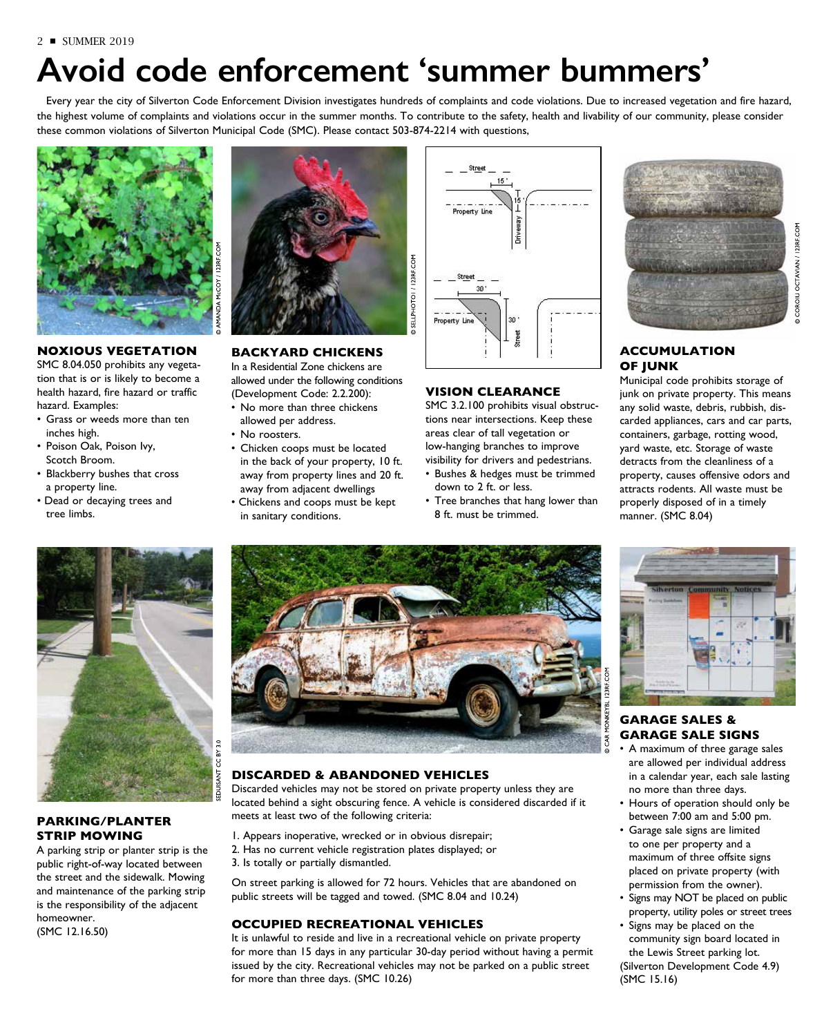# **Avoid code enforcement 'summer bummers'**

Every year the city of Silverton Code Enforcement Division investigates hundreds of complaints and code violations. Due to increased vegetation and fire hazard, the highest volume of complaints and violations occur in the summer months. To contribute to the safety, health and livability of our community, please consider these common violations of Silverton Municipal Code (SMC). Please contact 503-874-2214 with questions,



### **NOXIOUS VEGETATION**

SMC 8.04.050 prohibits any vegetation that is or is likely to become a health hazard, fire hazard or traffic hazard. Examples:

- Grass or weeds more than ten inches high.
- Poison Oak, Poison Ivy, Scotch Broom.
- Blackberry bushes that cross a property line.
- Dead or decaying trees and tree limbs.



### **BACKYARD CHICKENS**

In a Residential Zone chickens are allowed under the following conditions (Development Code: 2.2.200):

- No more than three chickens allowed per address.
- No roosters.
- Chicken coops must be located in the back of your property, 10 ft. away from property lines and 20 ft. away from adjacent dwellings
- Chickens and coops must be kept in sanitary conditions.



### **VISION CLEARANCE**

SMC 3.2.100 prohibits visual obstructions near intersections. Keep these areas clear of tall vegetation or low-hanging branches to improve visibility for drivers and pedestrians. • Bushes & hedges must be trimmed

down to 2 ft. or less. • Tree branches that hang lower than 8 ft. must be trimmed.

### **ACCUMULATION OF JUNK**

Municipal code prohibits storage of junk on private property. This means any solid waste, debris, rubbish, discarded appliances, cars and car parts, containers, garbage, rotting wood, yard waste, etc. Storage of waste detracts from the cleanliness of a property, causes offensive odors and attracts rodents. All waste must be properly disposed of in a timely manner. (SMC 8.04)



### **PARKING/PLANTER STRIP MOWING**

A parking strip or planter strip is the public right-of-way located between the street and the sidewalk. Mowing and maintenance of the parking strip is the responsibility of the adjacent homeowner. (SMC 12.16.50)



### **DISCARDED & ABANDONED VEHICLES**

Discarded vehicles may not be stored on private property unless they are located behind a sight obscuring fence. A vehicle is considered discarded if it meets at least two of the following criteria:

- 1. Appears inoperative, wrecked or in obvious disrepair;
- 2. Has no current vehicle registration plates displayed; or
- 3. Is totally or partially dismantled.

On street parking is allowed for 72 hours. Vehicles that are abandoned on public streets will be tagged and towed. (SMC 8.04 and 10.24)

### **OCCUPIED RECREATIONAL VEHICLES**

It is unlawful to reside and live in a recreational vehicle on private property for more than 15 days in any particular 30-day period without having a permit issued by the city. Recreational vehicles may not be parked on a public street for more than three days. (SMC 10.26)



### **GARAGE SALES & GARAGE SALE SIGNS**

- A maximum of three garage sales are allowed per individual address in a calendar year, each sale lasting no more than three days.
- Hours of operation should only be between 7:00 am and 5:00 pm.
- Garage sale signs are limited to one per property and a maximum of three offsite signs placed on private property (with permission from the owner).
- Signs may NOT be placed on public property, utility poles or street trees
- Signs may be placed on the community sign board located in the Lewis Street parking lot. (Silverton Development Code 4.9) (SMC 15.16)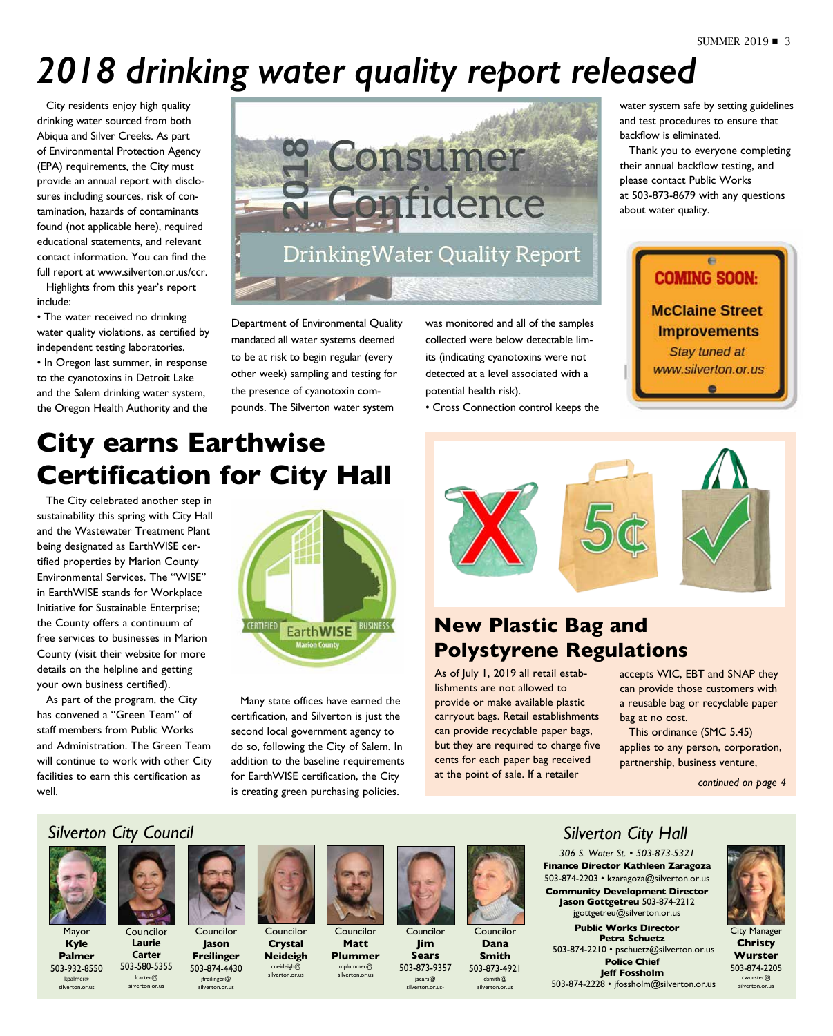# *2018 drinking water quality report released*

City residents enjoy high quality drinking water sourced from both Abiqua and Silver Creeks. As part of Environmental Protection Agency (EPA) requirements, the City must provide an annual report with disclosures including sources, risk of contamination, hazards of contaminants found (not applicable here), required educational statements, and relevant contact information. You can find the full report at www.silverton.or.us/ccr.

Highlights from this year's report include:

• The water received no drinking water quality violations, as certified by independent testing laboratories.

• In Oregon last summer, in response to the cyanotoxins in Detroit Lake and the Salem drinking water system, the Oregon Health Authority and the



Department of Environmental Quality mandated all water systems deemed to be at risk to begin regular (every other week) sampling and testing for the presence of cyanotoxin compounds. The Silverton water system

was monitored and all of the samples collected were below detectable limits (indicating cyanotoxins were not detected at a level associated with a potential health risk).

• Cross Connection control keeps the

water system safe by setting guidelines and test procedures to ensure that backflow is eliminated.

Thank you to everyone completing their annual backflow testing, and please contact Public Works at 503-873-8679 with any questions about water quality.



## **City earns Earthwise Certification for City Hall**

The City celebrated another step in sustainability this spring with City Hall and the Wastewater Treatment Plant being designated as EarthWISE certified properties by Marion County Environmental Services. The "WISE" in EarthWISE stands for Workplace Initiative for Sustainable Enterprise; the County offers a continuum of free services to businesses in Marion County (visit their website for more details on the helpline and getting your own business certified).

As part of the program, the City has convened a "Green Team" of staff members from Public Works and Administration. The Green Team will continue to work with other City facilities to earn this certification as well.



Many state offices have earned the certification, and Silverton is just the second local government agency to do so, following the City of Salem. In addition to the baseline requirements for EarthWISE certification, the City is creating green purchasing policies.



## **New Plastic Bag and Polystyrene Regulations**

As of July 1, 2019 all retail establishments are not allowed to provide or make available plastic carryout bags. Retail establishments can provide recyclable paper bags, but they are required to charge five cents for each paper bag received at the point of sale. If a retailer

accepts WIC, EBT and SNAP they can provide those customers with a reusable bag or recyclable paper bag at no cost.

This ordinance (SMC 5.45) applies to any person, corporation, partnership, business venture,

*continued on page 4*

## *Silverton City Council*



Mayor **Kyle Palmer**

503-932-8550 kpalmer@ silverton.or.us

Councilor **Laurie Carter** 503-580-5355 lcarter@ silverton.or.us



Councilor **Jason Freilinger** 503-874-4430 **Crystal Neideigh** cneideigh@ silverton.or.us

jfreilinger@ silverton.or.us



Councilor **Matt Plummer**  mplummer@ silverton.or.us



Councilor **Jim Sears** 503-873-9357 jsears@ silverton.or.us-



Councilor **Dana Smith** 503-873-4921 dsmith@ silverton.or.us

## *Silverton City Hall*

*306 S. Water St. • 503-873-5321* **Finance Director Kathleen Zaragoza** 503-874-2203 • kzaragoza@silverton.or.us **Community Development Director Jason Gottgetreu** 503-874-2212 jgottgetreu@silverton.or.us

**Public Works Director Petra Schuetz** 503-874-2210 • pschuetz@silverton.or.us **Police Chief Jeff Fossholm** 503-874-2228 • jfossholm@silverton.or.us



City Manager **Christy Wurster** 503-874-2205 cwurster@ silverton.or.us